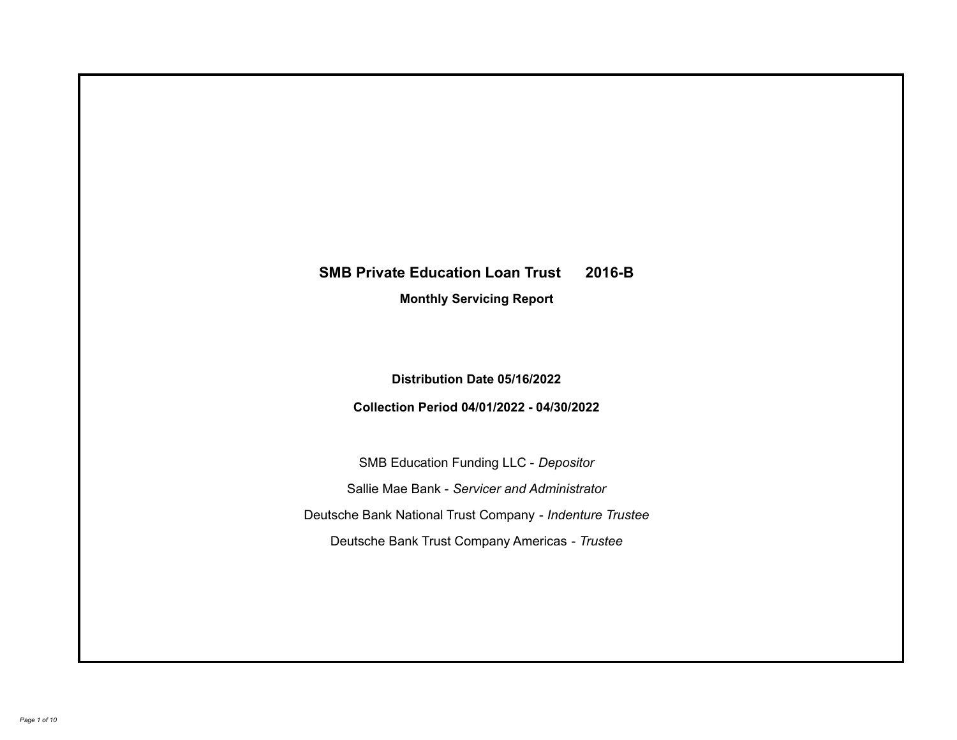# **SMB Private Education Loan Trust 2016-B**

**Monthly Servicing Report**

**Distribution Date 05/16/2022**

**Collection Period 04/01/2022 - 04/30/2022**

SMB Education Funding LLC - *Depositor* Sallie Mae Bank - *Servicer and Administrator* Deutsche Bank National Trust Company - *Indenture Trustee* Deutsche Bank Trust Company Americas - *Trustee*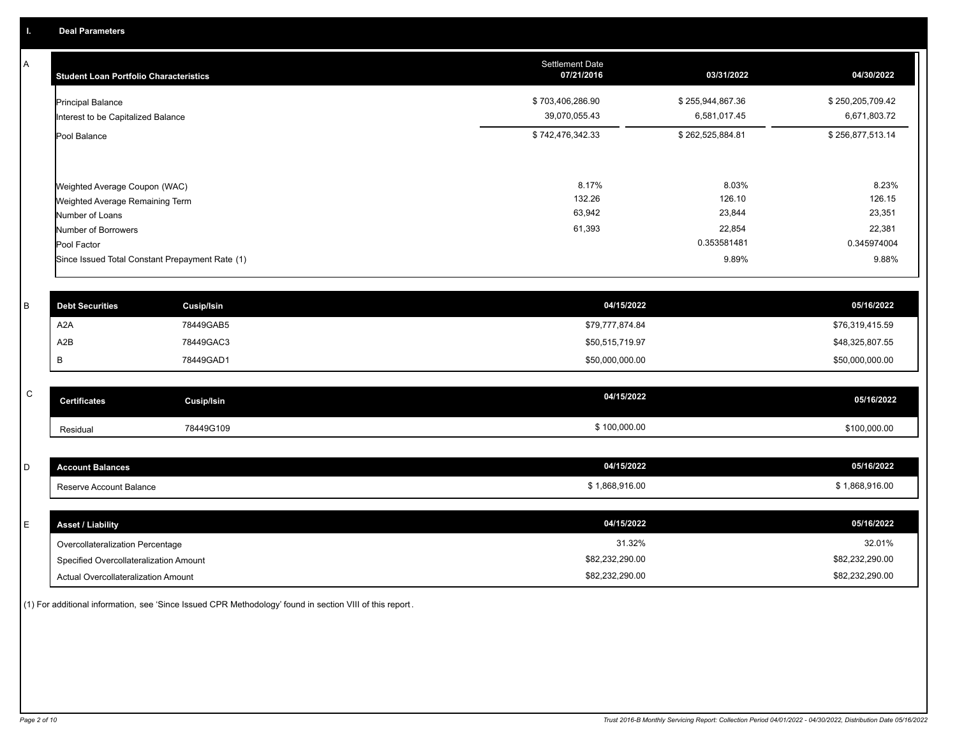A

| <b>Student Loan Portfolio Characteristics</b>                                       | <b>Settlement Date</b><br>07/21/2016 | 03/31/2022                       | 04/30/2022                       |
|-------------------------------------------------------------------------------------|--------------------------------------|----------------------------------|----------------------------------|
| <b>Principal Balance</b><br>Interest to be Capitalized Balance                      | \$703,406,286.90<br>39,070,055.43    | \$255,944,867.36<br>6,581,017.45 | \$250,205,709.42<br>6,671,803.72 |
| Pool Balance                                                                        | \$742,476,342.33                     | \$262,525,884.81                 | \$256,877,513.14                 |
| Weighted Average Coupon (WAC)<br>Weighted Average Remaining Term<br>Number of Loans | 8.17%<br>132.26<br>63,942            | 8.03%<br>126.10<br>23,844        | 8.23%<br>126.15<br>23,351        |
| Number of Borrowers                                                                 | 61,393                               | 22,854                           | 22,381                           |
| Pool Factor                                                                         |                                      | 0.353581481                      | 0.345974004                      |
| Since Issued Total Constant Prepayment Rate (1)                                     |                                      | 9.89%                            | 9.88%                            |

| \$76,319,415.59 |
|-----------------|
|                 |
| \$48,325,807.55 |
| \$50,000,000.00 |
|                 |

| $\sim$<br>◡ | <b>Certificates</b> | Cusip/Isin | 04/15/2022   | 05/16/2022   |
|-------------|---------------------|------------|--------------|--------------|
|             | Residual            | 78449G109  | \$100,000.00 | \$100,000.00 |

| $\sim$<br>ັ | <b>Account Balances</b>   | 04/15/2022   | 05/16/2022   |
|-------------|---------------------------|--------------|--------------|
|             | * Reserve Account Balance | 1,868,916.00 | 1,868,916.00 |

| E. | <b>Asset / Liability</b>               | 04/15/2022      | 05/16/2022      |
|----|----------------------------------------|-----------------|-----------------|
|    | Overcollateralization Percentage       | 31.32%          | 32.01%          |
|    | Specified Overcollateralization Amount | \$82,232,290.00 | \$82,232,290.00 |
|    | Actual Overcollateralization Amount    | \$82,232,290.00 | \$82,232,290.00 |

(1) For additional information, see 'Since Issued CPR Methodology' found in section VIII of this report .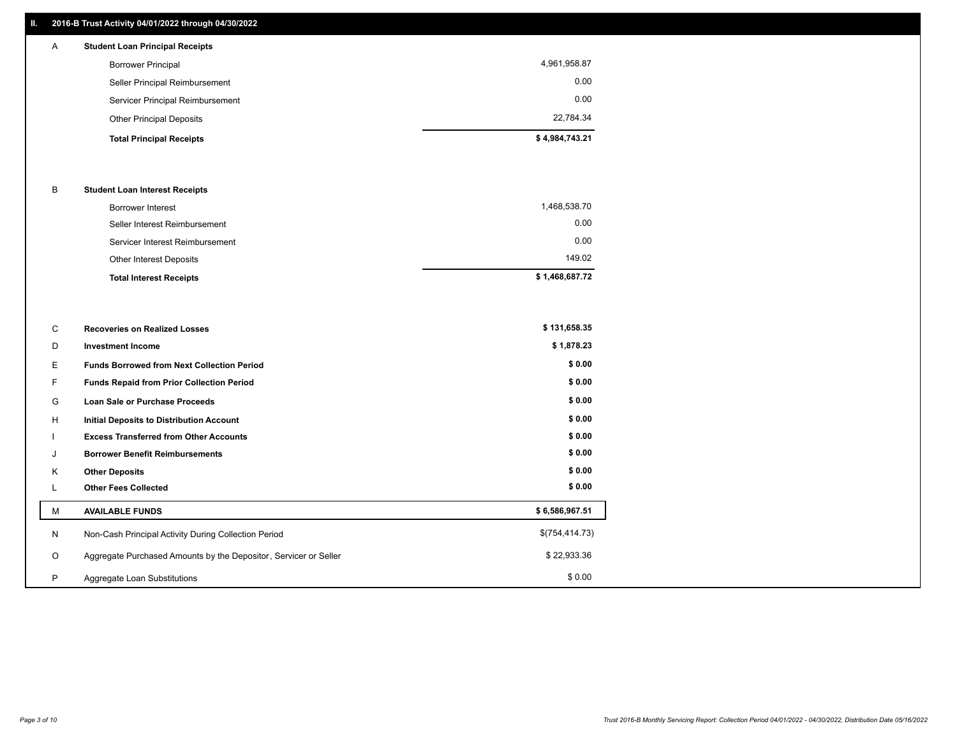## **II. 2016-B Trust Activity 04/01/2022 through 04/30/2022**

| $\mathsf{A}$ | <b>Student Loan Principal Receipts</b> |                |
|--------------|----------------------------------------|----------------|
|              | <b>Borrower Principal</b>              | 4,961,958.87   |
|              | Seller Principal Reimbursement         | 0.00           |
|              | Servicer Principal Reimbursement       | 0.00           |
|              | <b>Other Principal Deposits</b>        | 22,784.34      |
|              | <b>Total Principal Receipts</b>        | \$4,984,743.21 |

### B **Student Loan Interest Receipts**

| <b>Total Interest Receipts</b>  | \$1,468,687.72 |
|---------------------------------|----------------|
| Other Interest Deposits         | 149.02         |
| Servicer Interest Reimbursement | 0.00           |
| Seller Interest Reimbursement   | 0.00           |
| Borrower Interest               | 1,468,538.70   |

| С       | <b>Recoveries on Realized Losses</b>                             | \$131,658.35   |
|---------|------------------------------------------------------------------|----------------|
| D       | <b>Investment Income</b>                                         | \$1,878.23     |
| Ε.      | <b>Funds Borrowed from Next Collection Period</b>                | \$0.00         |
| F.      | <b>Funds Repaid from Prior Collection Period</b>                 | \$0.00         |
| G       | Loan Sale or Purchase Proceeds                                   | \$0.00         |
| H       | Initial Deposits to Distribution Account                         | \$0.00         |
|         | <b>Excess Transferred from Other Accounts</b>                    | \$0.00         |
| J       | <b>Borrower Benefit Reimbursements</b>                           | \$0.00         |
| K       | <b>Other Deposits</b>                                            | \$0.00         |
| ц       | <b>Other Fees Collected</b>                                      | \$0.00         |
| M       | <b>AVAILABLE FUNDS</b>                                           | \$6,586,967.51 |
| N       | Non-Cash Principal Activity During Collection Period             | \$(754,414.73) |
| $\circ$ | Aggregate Purchased Amounts by the Depositor, Servicer or Seller | \$22,933.36    |
| P       | Aggregate Loan Substitutions                                     | \$0.00         |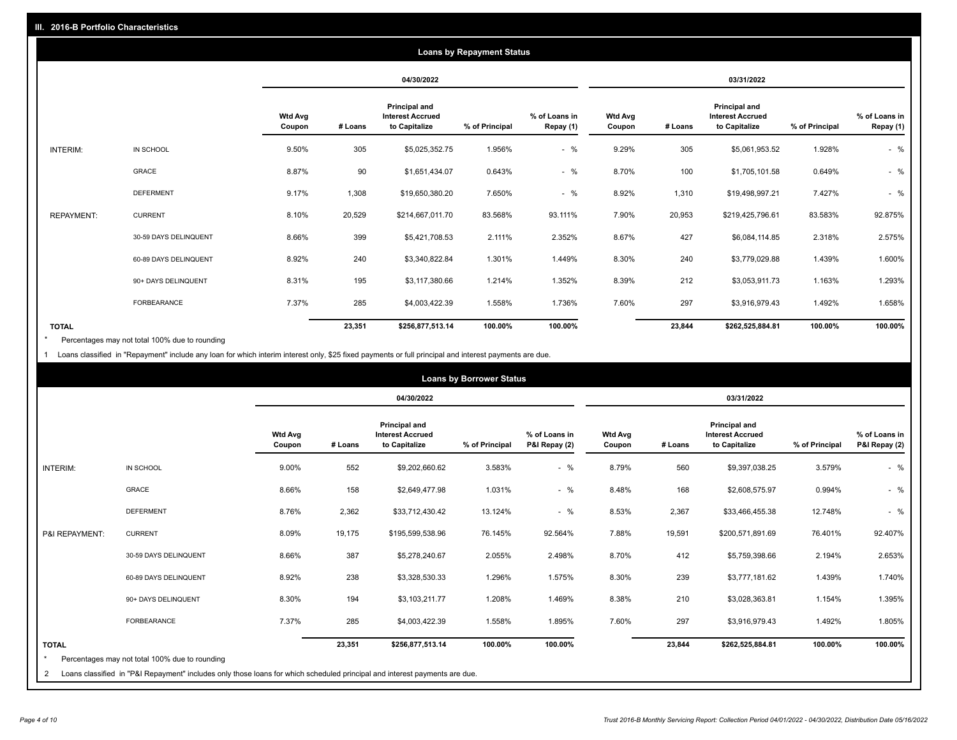|              |                   |                       |                          |         |                                                                  | <b>Loans by Repayment Status</b> |                            |                          |         |                                                           |                |                            |
|--------------|-------------------|-----------------------|--------------------------|---------|------------------------------------------------------------------|----------------------------------|----------------------------|--------------------------|---------|-----------------------------------------------------------|----------------|----------------------------|
|              |                   |                       |                          |         | 04/30/2022                                                       |                                  |                            |                          |         | 03/31/2022                                                |                |                            |
|              |                   |                       | <b>Wtd Avg</b><br>Coupon | # Loans | <b>Principal and</b><br><b>Interest Accrued</b><br>to Capitalize | % of Principal                   | % of Loans in<br>Repay (1) | <b>Wtd Avg</b><br>Coupon | # Loans | Principal and<br><b>Interest Accrued</b><br>to Capitalize | % of Principal | % of Loans in<br>Repay (1) |
| INTERIM:     |                   | IN SCHOOL             | 9.50%                    | 305     | \$5,025,352.75                                                   | 1.956%                           | $-$ %                      | 9.29%                    | 305     | \$5,061,953.52                                            | 1.928%         | $-$ %                      |
|              |                   | GRACE                 | 8.87%                    | 90      | \$1,651,434.07                                                   | 0.643%                           | $-$ %                      | 8.70%                    | 100     | \$1,705,101.58                                            | 0.649%         | $-$ %                      |
|              |                   | <b>DEFERMENT</b>      | 9.17%                    | 1,308   | \$19,650,380.20                                                  | 7.650%                           | $-$ %                      | 8.92%                    | 1,310   | \$19,498,997.21                                           | 7.427%         | $-$ %                      |
|              | <b>REPAYMENT:</b> | <b>CURRENT</b>        | 8.10%                    | 20,529  | \$214,667,011.70                                                 | 83.568%                          | 93.111%                    | 7.90%                    | 20,953  | \$219,425,796.61                                          | 83.583%        | 92.875%                    |
|              |                   | 30-59 DAYS DELINQUENT | 8.66%                    | 399     | \$5,421,708.53                                                   | 2.111%                           | 2.352%                     | 8.67%                    | 427     | \$6,084,114.85                                            | 2.318%         | 2.575%                     |
|              |                   | 60-89 DAYS DELINQUENT | 8.92%                    | 240     | \$3,340,822.84                                                   | 1.301%                           | 1.449%                     | 8.30%                    | 240     | \$3,779,029.88                                            | 1.439%         | 1.600%                     |
|              |                   | 90+ DAYS DELINQUENT   | 8.31%                    | 195     | \$3,117,380.66                                                   | 1.214%                           | 1.352%                     | 8.39%                    | 212     | \$3,053,911.73                                            | 1.163%         | 1.293%                     |
|              |                   | <b>FORBEARANCE</b>    | 7.37%                    | 285     | \$4,003,422.39                                                   | 1.558%                           | 1.736%                     | 7.60%                    | 297     | \$3,916,979.43                                            | 1.492%         | 1.658%                     |
| <b>TOTAL</b> |                   |                       |                          | 23,351  | \$256,877,513.14                                                 | 100.00%                          | 100.00%                    |                          | 23,844  | \$262,525,884.81                                          | 100.00%        | 100.00%                    |

Percentages may not total 100% due to rounding \*

1 Loans classified in "Repayment" include any loan for which interim interest only, \$25 fixed payments or full principal and interest payments are due.

|                              |                                                                                                                                                                              |                          |         |                                                           | <b>Loans by Borrower Status</b> |                                |                          |         |                                                                  |                |                                |
|------------------------------|------------------------------------------------------------------------------------------------------------------------------------------------------------------------------|--------------------------|---------|-----------------------------------------------------------|---------------------------------|--------------------------------|--------------------------|---------|------------------------------------------------------------------|----------------|--------------------------------|
|                              |                                                                                                                                                                              |                          |         | 04/30/2022                                                |                                 |                                |                          |         | 03/31/2022                                                       |                |                                |
|                              |                                                                                                                                                                              | <b>Wtd Avg</b><br>Coupon | # Loans | Principal and<br><b>Interest Accrued</b><br>to Capitalize | % of Principal                  | % of Loans in<br>P&I Repay (2) | <b>Wtd Avg</b><br>Coupon | # Loans | <b>Principal and</b><br><b>Interest Accrued</b><br>to Capitalize | % of Principal | % of Loans in<br>P&I Repay (2) |
| <b>INTERIM:</b>              | IN SCHOOL                                                                                                                                                                    | 9.00%                    | 552     | \$9,202,660.62                                            | 3.583%                          | $-$ %                          | 8.79%                    | 560     | \$9,397,038.25                                                   | 3.579%         | $-$ %                          |
|                              | <b>GRACE</b>                                                                                                                                                                 | 8.66%                    | 158     | \$2,649,477.98                                            | 1.031%                          | $-$ %                          | 8.48%                    | 168     | \$2,608,575.97                                                   | 0.994%         | $-$ %                          |
|                              | <b>DEFERMENT</b>                                                                                                                                                             | 8.76%                    | 2,362   | \$33,712,430.42                                           | 13.124%                         | $-$ %                          | 8.53%                    | 2,367   | \$33,466,455.38                                                  | 12.748%        | $-$ %                          |
| P&I REPAYMENT:               | <b>CURRENT</b>                                                                                                                                                               | 8.09%                    | 19,175  | \$195,599,538.96                                          | 76.145%                         | 92.564%                        | 7.88%                    | 19,591  | \$200,571,891.69                                                 | 76.401%        | 92.407%                        |
|                              | 30-59 DAYS DELINQUENT                                                                                                                                                        | 8.66%                    | 387     | \$5,278,240.67                                            | 2.055%                          | 2.498%                         | 8.70%                    | 412     | \$5,759,398.66                                                   | 2.194%         | 2.653%                         |
|                              | 60-89 DAYS DELINQUENT                                                                                                                                                        | 8.92%                    | 238     | \$3,328,530.33                                            | 1.296%                          | 1.575%                         | 8.30%                    | 239     | \$3,777,181.62                                                   | 1.439%         | 1.740%                         |
|                              | 90+ DAYS DELINQUENT                                                                                                                                                          | 8.30%                    | 194     | \$3,103,211.77                                            | 1.208%                          | 1.469%                         | 8.38%                    | 210     | \$3,028,363.81                                                   | 1.154%         | 1.395%                         |
|                              | <b>FORBEARANCE</b>                                                                                                                                                           | 7.37%                    | 285     | \$4,003,422.39                                            | 1.558%                          | 1.895%                         | 7.60%                    | 297     | \$3,916,979.43                                                   | 1.492%         | 1.805%                         |
| <b>TOTAL</b><br>$\star$<br>2 | Percentages may not total 100% due to rounding<br>Loans classified in "P&I Repayment" includes only those loans for which scheduled principal and interest payments are due. |                          | 23,351  | \$256,877,513.14                                          | 100.00%                         | 100.00%                        |                          | 23,844  | \$262,525,884.81                                                 | 100.00%        | 100.00%                        |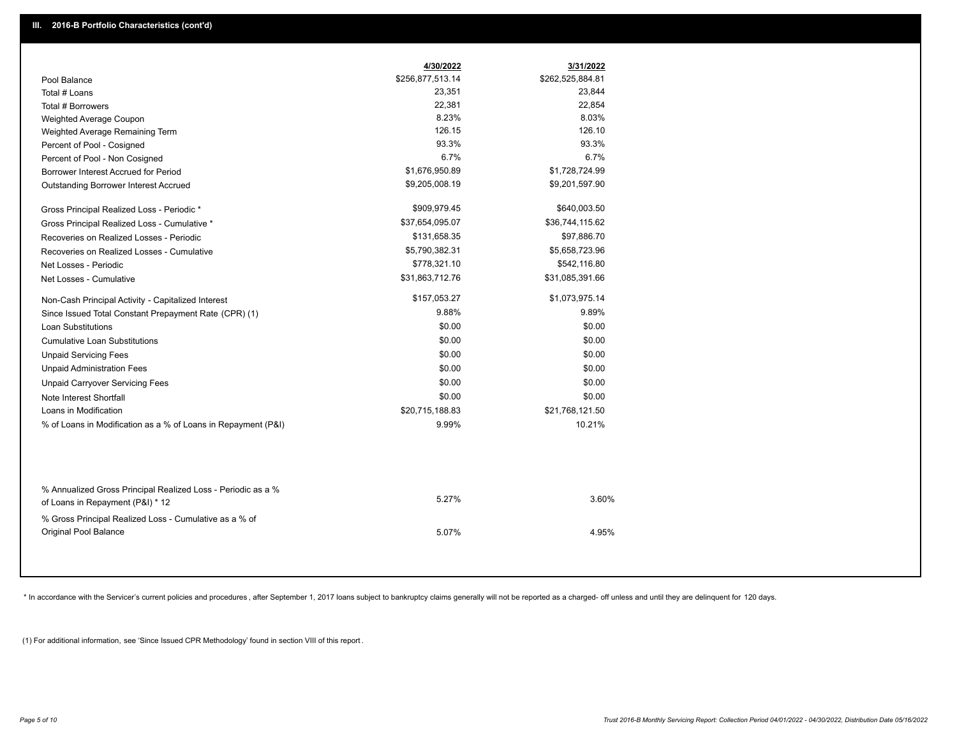|                                                               | 4/30/2022        | 3/31/2022        |
|---------------------------------------------------------------|------------------|------------------|
| Pool Balance                                                  | \$256,877,513.14 | \$262,525,884.81 |
| Total # Loans                                                 | 23,351           | 23,844           |
| Total # Borrowers                                             | 22,381           | 22,854           |
| Weighted Average Coupon                                       | 8.23%            | 8.03%            |
| Weighted Average Remaining Term                               | 126.15           | 126.10           |
| Percent of Pool - Cosigned                                    | 93.3%            | 93.3%            |
| Percent of Pool - Non Cosigned                                | 6.7%             | 6.7%             |
| Borrower Interest Accrued for Period                          | \$1,676,950.89   | \$1,728,724.99   |
| Outstanding Borrower Interest Accrued                         | \$9,205,008.19   | \$9,201,597.90   |
| Gross Principal Realized Loss - Periodic *                    | \$909,979.45     | \$640,003.50     |
| Gross Principal Realized Loss - Cumulative *                  | \$37,654,095.07  | \$36,744,115.62  |
| Recoveries on Realized Losses - Periodic                      | \$131,658.35     | \$97,886.70      |
| Recoveries on Realized Losses - Cumulative                    | \$5,790,382.31   | \$5,658,723.96   |
| Net Losses - Periodic                                         | \$778,321.10     | \$542,116.80     |
| Net Losses - Cumulative                                       | \$31,863,712.76  | \$31,085,391.66  |
| Non-Cash Principal Activity - Capitalized Interest            | \$157,053.27     | \$1,073,975.14   |
| Since Issued Total Constant Prepayment Rate (CPR) (1)         | 9.88%            | 9.89%            |
| <b>Loan Substitutions</b>                                     | \$0.00           | \$0.00           |
| <b>Cumulative Loan Substitutions</b>                          | \$0.00           | \$0.00           |
| <b>Unpaid Servicing Fees</b>                                  | \$0.00           | \$0.00           |
| <b>Unpaid Administration Fees</b>                             | \$0.00           | \$0.00           |
| <b>Unpaid Carryover Servicing Fees</b>                        | \$0.00           | \$0.00           |
| Note Interest Shortfall                                       | \$0.00           | \$0.00           |
| Loans in Modification                                         | \$20,715,188.83  | \$21,768,121.50  |
| % of Loans in Modification as a % of Loans in Repayment (P&I) | 9.99%            | 10.21%           |
| % Annualized Gross Principal Realized Loss - Periodic as a %  |                  |                  |
| of Loans in Repayment (P&I) * 12                              | 5.27%            | 3.60%            |
| % Gross Principal Realized Loss - Cumulative as a % of        |                  |                  |
| Original Pool Balance                                         | 5.07%            | 4.95%            |

\* In accordance with the Servicer's current policies and procedures, after September 1, 2017 loans subject to bankruptcy claims generally will not be reported as a charged- off unless and until they are delinquent for 120

(1) For additional information, see 'Since Issued CPR Methodology' found in section VIII of this report .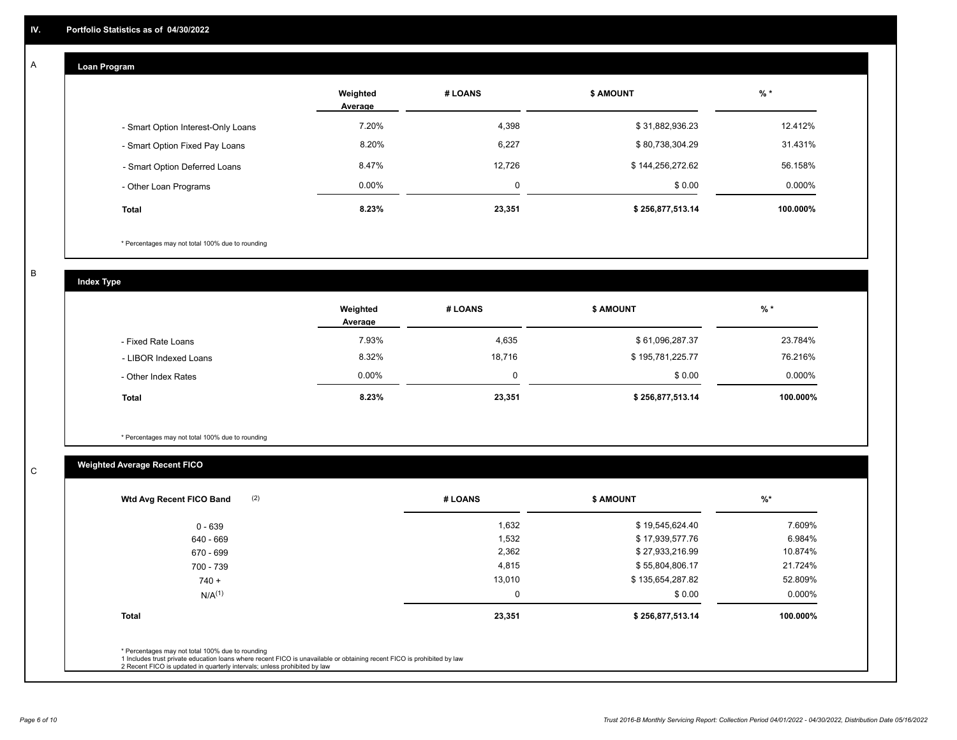## **Loan Program**

A

|                                    | Weighted<br>Average | # LOANS  | <b>\$ AMOUNT</b> | $%$ *    |
|------------------------------------|---------------------|----------|------------------|----------|
| - Smart Option Interest-Only Loans | 7.20%               | 4,398    | \$31,882,936.23  | 12.412%  |
| - Smart Option Fixed Pay Loans     | 8.20%               | 6,227    | \$80,738,304.29  | 31.431%  |
| - Smart Option Deferred Loans      | 8.47%               | 12.726   | \$144,256,272.62 | 56.158%  |
| - Other Loan Programs              | $0.00\%$            | $\Omega$ | \$0.00           | 0.000%   |
| <b>Total</b>                       | 8.23%               | 23,351   | \$256,877,513.14 | 100.000% |

\* Percentages may not total 100% due to rounding

B

C

**Index Type**

|                       | Weighted<br>Average | # LOANS | \$ AMOUNT        | % *       |
|-----------------------|---------------------|---------|------------------|-----------|
| - Fixed Rate Loans    | 7.93%               | 4,635   | \$61,096,287.37  | 23.784%   |
| - LIBOR Indexed Loans | 8.32%               | 18,716  | \$195,781,225.77 | 76.216%   |
| - Other Index Rates   | $0.00\%$            |         | \$0.00           | $0.000\%$ |
| <b>Total</b>          | 8.23%               | 23,351  | \$256,877,513.14 | 100.000%  |

\* Percentages may not total 100% due to rounding

## **Weighted Average Recent FICO**

| (2)<br>Wtd Avg Recent FICO Band                                                                                                                                                                                                                          | # LOANS     | <b>\$ AMOUNT</b> | $\frac{9}{6}$ * |
|----------------------------------------------------------------------------------------------------------------------------------------------------------------------------------------------------------------------------------------------------------|-------------|------------------|-----------------|
| $0 - 639$                                                                                                                                                                                                                                                | 1,632       | \$19,545,624.40  | 7.609%          |
| 640 - 669                                                                                                                                                                                                                                                | 1,532       | \$17,939,577.76  | 6.984%          |
| 670 - 699                                                                                                                                                                                                                                                | 2,362       | \$27,933,216.99  | 10.874%         |
| 700 - 739                                                                                                                                                                                                                                                | 4,815       | \$55,804,806.17  | 21.724%         |
| $740 +$                                                                                                                                                                                                                                                  | 13,010      | \$135,654,287.82 | 52.809%         |
| N/A <sup>(1)</sup>                                                                                                                                                                                                                                       | $\mathbf 0$ | \$0.00           | 0.000%          |
| <b>Total</b>                                                                                                                                                                                                                                             | 23,351      | \$256,877,513.14 | 100.000%        |
| * Percentages may not total 100% due to rounding<br>1 Includes trust private education loans where recent FICO is unavailable or obtaining recent FICO is prohibited by law<br>2 Recent FICO is updated in quarterly intervals; unless prohibited by law |             |                  |                 |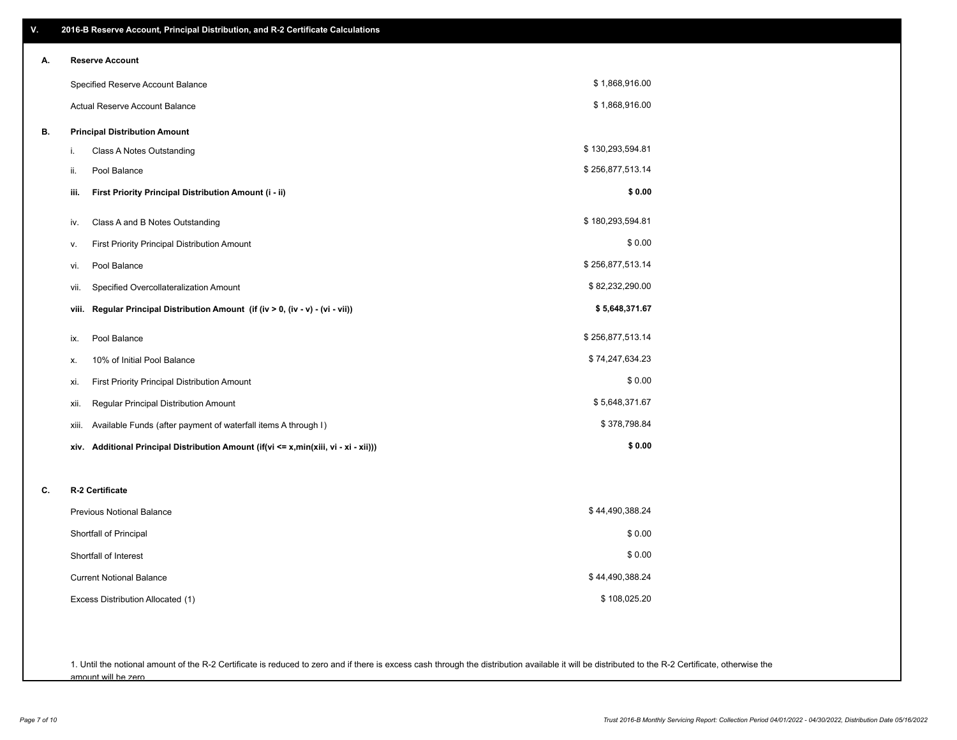| V. | 2016-B Reserve Account, Principal Distribution, and R-2 Certificate Calculations     |                  |
|----|--------------------------------------------------------------------------------------|------------------|
| А. | <b>Reserve Account</b>                                                               |                  |
|    | Specified Reserve Account Balance                                                    | \$1,868,916.00   |
|    | Actual Reserve Account Balance                                                       | \$1,868,916.00   |
| В. | <b>Principal Distribution Amount</b>                                                 |                  |
|    | Class A Notes Outstanding<br>i.                                                      | \$130,293,594.81 |
|    | Pool Balance<br>ii.                                                                  | \$256,877,513.14 |
|    | First Priority Principal Distribution Amount (i - ii)<br>iii.                        | \$0.00           |
|    | Class A and B Notes Outstanding<br>iv.                                               | \$180,293,594.81 |
|    | First Priority Principal Distribution Amount<br>ν.                                   | \$0.00           |
|    | Pool Balance<br>vi.                                                                  | \$256,877,513.14 |
|    | Specified Overcollateralization Amount<br>VII.                                       | \$82,232,290.00  |
|    | Regular Principal Distribution Amount (if (iv > 0, (iv - v) - (vi - vii))<br>viii.   | \$5,648,371.67   |
|    | Pool Balance<br>ix.                                                                  | \$256,877,513.14 |
|    | 10% of Initial Pool Balance<br>х.                                                    | \$74,247,634.23  |
|    | First Priority Principal Distribution Amount<br>xi.                                  | \$0.00           |
|    | Regular Principal Distribution Amount<br>xii.                                        | \$5,648,371.67   |
|    | Available Funds (after payment of waterfall items A through I)<br>xiii.              | \$378,798.84     |
|    | xiv. Additional Principal Distribution Amount (if(vi <= x,min(xiii, vi - xi - xii))) | \$0.00           |
|    |                                                                                      |                  |
| C. | R-2 Certificate                                                                      |                  |
|    | Previous Notional Balance                                                            | \$44,490,388.24  |
|    | Shortfall of Principal                                                               | \$0.00           |
|    | Shortfall of Interest                                                                | \$0.00           |
|    | <b>Current Notional Balance</b>                                                      | \$44,490,388.24  |
|    | Excess Distribution Allocated (1)                                                    | \$108,025.20     |
|    |                                                                                      |                  |
|    |                                                                                      |                  |

1. Until the notional amount of the R-2 Certificate is reduced to zero and if there is excess cash through the distribution available it will be distributed to the R-2 Certificate, otherwise the amount will be zero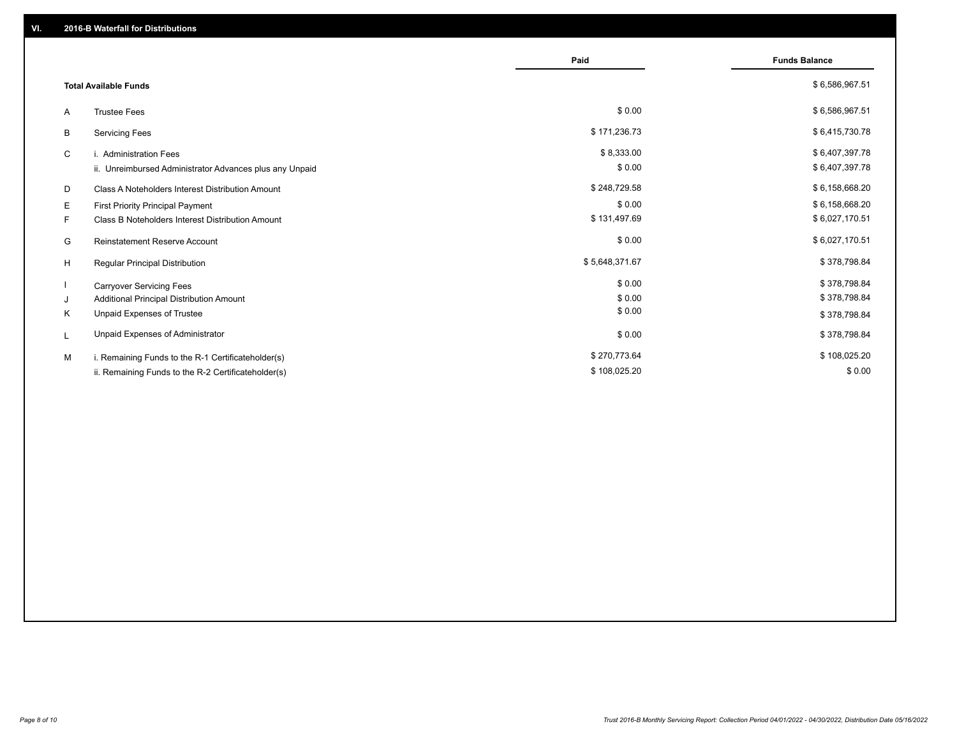|                                                         | Paid           | <b>Funds Balance</b> |
|---------------------------------------------------------|----------------|----------------------|
| <b>Total Available Funds</b>                            |                | \$6,586,967.51       |
| <b>Trustee Fees</b><br>A                                | \$0.00         | \$6,586,967.51       |
| В<br><b>Servicing Fees</b>                              | \$171,236.73   | \$6,415,730.78       |
| C<br>i. Administration Fees                             | \$8,333.00     | \$6,407,397.78       |
| ii. Unreimbursed Administrator Advances plus any Unpaid | \$0.00         | \$6,407,397.78       |
| D<br>Class A Noteholders Interest Distribution Amount   | \$248,729.58   | \$6,158,668.20       |
| Е<br>First Priority Principal Payment                   | \$0.00         | \$6,158,668.20       |
| Class B Noteholders Interest Distribution Amount<br>F.  | \$131,497.69   | \$6,027,170.51       |
| <b>Reinstatement Reserve Account</b><br>G               | \$0.00         | \$6,027,170.51       |
| H<br>Regular Principal Distribution                     | \$5,648,371.67 | \$378,798.84         |
| <b>Carryover Servicing Fees</b>                         | \$0.00         | \$378,798.84         |
| Additional Principal Distribution Amount<br>J           | \$0.00         | \$378,798.84         |
| Κ<br>Unpaid Expenses of Trustee                         | \$0.00         | \$378,798.84         |
| Unpaid Expenses of Administrator<br>L                   | \$0.00         | \$378,798.84         |
| M<br>i. Remaining Funds to the R-1 Certificateholder(s) | \$270,773.64   | \$108,025.20         |
| ii. Remaining Funds to the R-2 Certificateholder(s)     | \$108,025.20   | \$0.00               |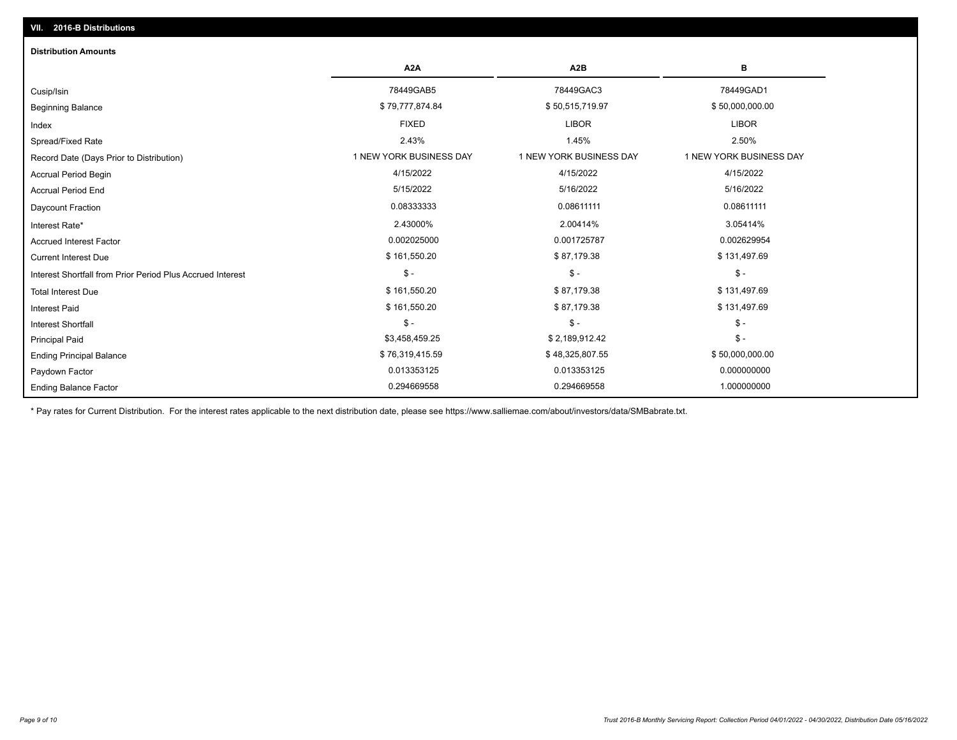## Ending Balance Factor Paydown Factor 0.013353125 0.013353125 0.000000000 Ending Principal Balance \$50,000,000.00 \$8.319,415.59 \$576,319,415.59 \$576,319,415.59 \$48,325,807.55 \$50,000,000.00 Principal Paid \$3,458,459.25 \$ 2,189,912.42 \$ - \$ - \$ - \$ - Interest Shortfall \$ 161,550.20 \$ 87,179.38 \$ 131,497.69 Interest Paid Total Interest Due \$ 161,550.20 \$ 87,179.38 \$ 131,497.69 \$ - \$ - \$ - Interest Shortfall from Prior Period Plus Accrued Interest Current Interest Due \$ 161,550.20 \$ 87,179.38 \$ 131,497.69 Accrued Interest Factor 0.002025000 0.001725787 0.002629954 Interest Rate\* 2.43000% 2.00414% 3.05414% Daycount Fraction 0.08333333 0.08611111 0.08611111 Accrual Period End 5/15/2022 5/16/2022 5/16/2022 Accrual Period Begin 4/15/2022 4/15/2022 4/15/2022 Record Date (Days Prior to Distribution) **1 NEW YORK BUSINESS DAY** 1 NEW YORK BUSINESS DAY 1 NEW YORK BUSINESS DAY Spread/Fixed Rate 2.43% 1.45% 2.50% Index FIXED LIBOR LIBOR Beginning Balance \$ 39,000,000.00 \$ \$19,777,874.84 \$ \$50,515,719.97 \$ \$50,000,000.00 \$ \$50,000,000.00 \$ \$50,000 Cusip/Isin 78449GAB5 78449GAC3 78449GAD1 **A2A A2B B** 0.294669558 0.294669558 1.000000000 **Distribution Amounts**

\* Pay rates for Current Distribution. For the interest rates applicable to the next distribution date, please see https://www.salliemae.com/about/investors/data/SMBabrate.txt.

**VII. 2016-B Distributions**